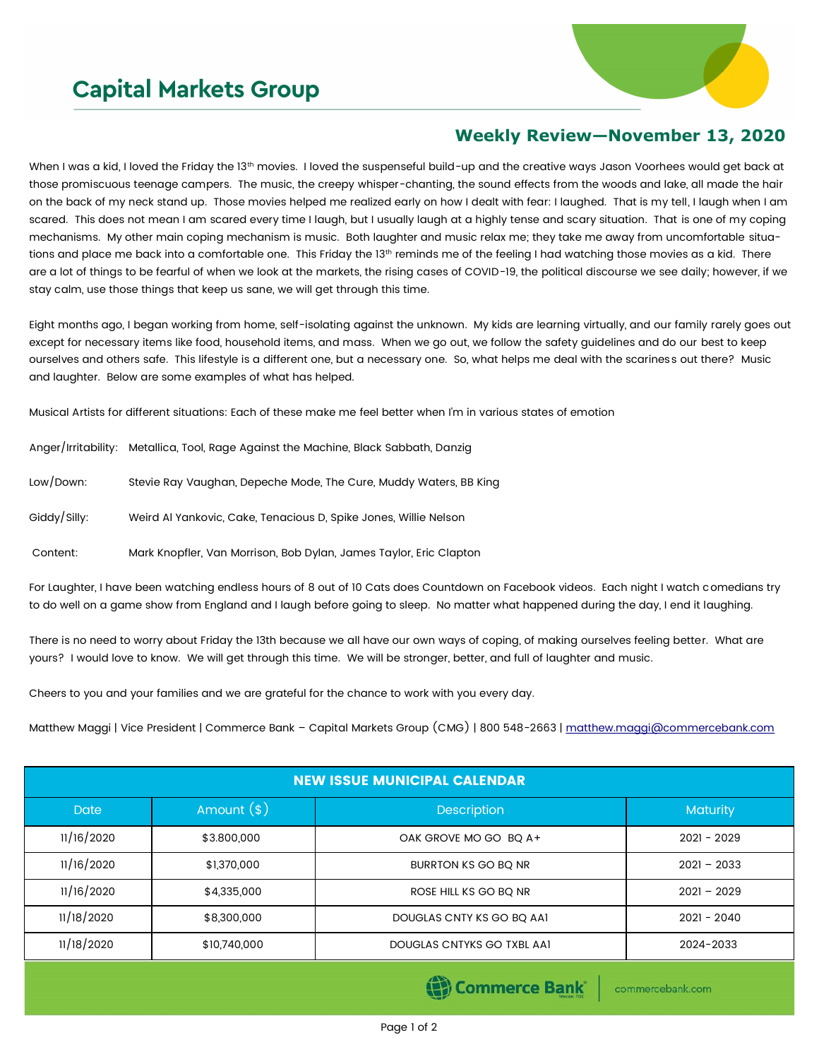## **Capital Markets Group**



## **Weekly Review—November 13, 2020**

When I was a kid, I loved the Friday the 13th movies. I loved the suspenseful build-up and the creative ways Jason Voorhees would get back at those promiscuous teenage campers. The music, the creepy whisper-chanting, the sound effects from the woods and lake, all made the hair on the back of my neck stand up. Those movies helped me realized early on how I dealt with fear: I laughed. That is my tell, I laugh when I am scared. This does not mean I am scared every time I laugh, but I usually laugh at a highly tense and scary situation. That is one of my coping mechanisms. My other main coping mechanism is music. Both laughter and music relax me; they take me away from uncomfortable situations and place me back into a comfortable one. This Friday the 13<sup>th</sup> reminds me of the feeling I had watching those movies as a kid. There are a lot of things to be fearful of when we look at the markets, the rising cases of COVID-19, the political discourse we see daily; however, if we stay calm, use those things that keep us sane, we will get through this time.

Eight months ago, I began working from home, self-isolating against the unknown. My kids are learning virtually, and our family rarely goes out except for necessary items like food, household items, and mass. When we go out, we follow the safety guidelines and do our best to keep ourselves and others safe. This lifestyle is a different one, but a necessary one. So, what helps me deal with the scariness out there? Music and laughter. Below are some examples of what has helped.

Musical Artists for different situations: Each of these make me feel better when I'm in various states of emotion

|              | Anger/Irritability: Metallica, Tool, Rage Against the Machine, Black Sabbath, Danzig |
|--------------|--------------------------------------------------------------------------------------|
| Low/Down:    | Stevie Ray Vaughan, Depeche Mode, The Cure, Muddy Waters, BB King                    |
| Giddy/Silly: | Weird Al Yankovic, Cake, Tenacious D, Spike Jones, Willie Nelson                     |
| Content:     | Mark Knopfler, Van Morrison, Bob Dylan, James Taylor, Eric Clapton                   |

For Laughter, I have been watching endless hours of 8 out of 10 Cats does Countdown on Facebook videos. Each night I watch comedians try to do well on a game show from England and I laugh before going to sleep. No matter what happened during the day, I end it laughing.

There is no need to worry about Friday the 13th because we all have our own ways of coping, of making ourselves feeling better. What are yours? I would love to know. We will get through this time. We will be stronger, better, and full of laughter and music.

Cheers to you and your families and we are grateful for the chance to work with you every day.

Matthew Maggi | Vice President | Commerce Bank - Capital Markets Group (CMG) | 800 548-2663 | [matthew.maggi@commercebank.com](mailto:matthew.maggi@commercebank.com)

| <b>NEW ISSUE MUNICIPAL CALENDAR</b> |              |                            |                 |  |  |  |  |  |  |
|-------------------------------------|--------------|----------------------------|-----------------|--|--|--|--|--|--|
| <b>Date</b>                         | Amount $(*)$ | <b>Description</b>         | <b>Maturity</b> |  |  |  |  |  |  |
| 11/16/2020                          | \$3.800,000  | OAK GROVE MO GO BQ A+      | $2021 - 2029$   |  |  |  |  |  |  |
| 11/16/2020                          | \$1,370,000  | BURRTON KS GO BQ NR        | $2021 - 2033$   |  |  |  |  |  |  |
| 11/16/2020                          | \$4,335,000  | ROSE HILL KS GO BO NR      | $2021 - 2029$   |  |  |  |  |  |  |
| 11/18/2020                          | \$8,300,000  | DOUGLAS CNTY KS GO BO AA1  | $2021 - 2040$   |  |  |  |  |  |  |
| 11/18/2020                          | \$10,740,000 | DOUGLAS CNTYKS GO TXBL AAI | 2024-2033       |  |  |  |  |  |  |

Commerce Bank

commercebank.com